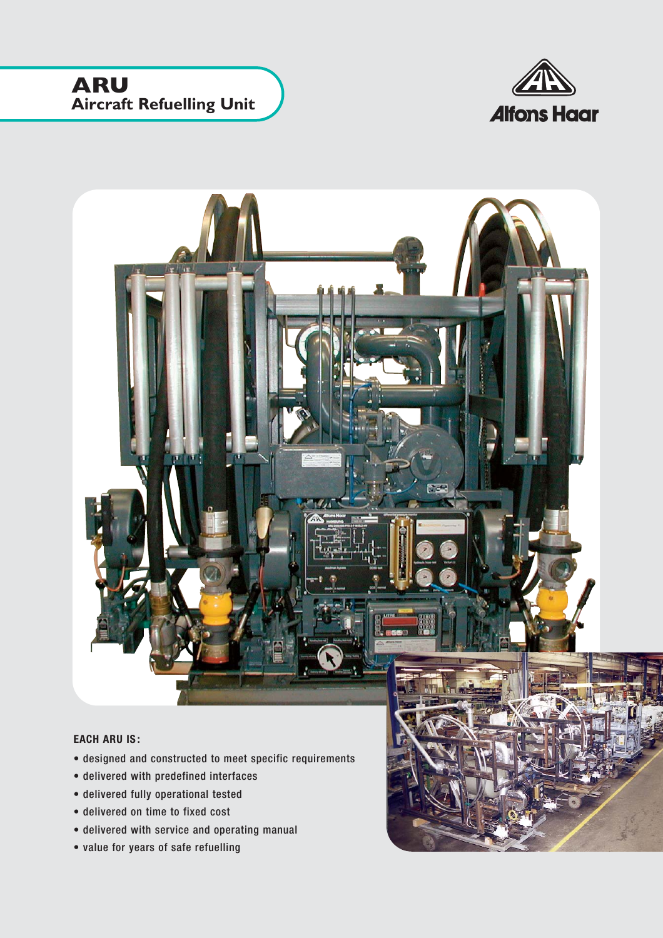## **ARU Aircraft Refuelling Unit**





## **EACH ARU IS:**

- designed and constructed to meet specific requirements
- delivered with predefined interfaces
- delivered fully operational tested
- delivered on time to fixed cost
- delivered with service and operating manual
- value for years of safe refuelling